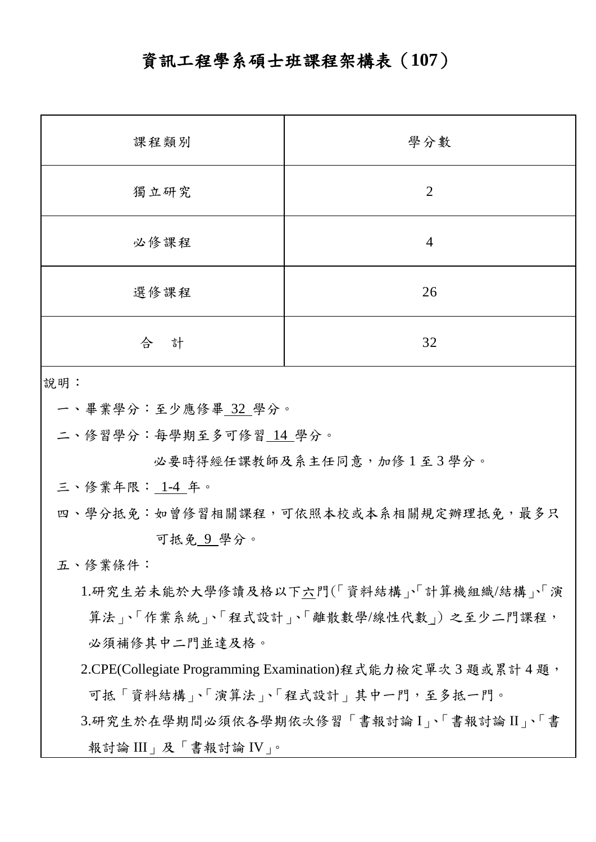## 資訊工程學系碩士班課程架構表(**107**)

| 課程類別   | 學分數            |
|--------|----------------|
| 獨立研究   | $\overline{2}$ |
| 必修課程   | $\overline{4}$ |
| 選修課程   | 26             |
| 合<br>計 | 32             |

說明:

一、畢業學分:至少應修畢 32 學分。

二、修習學分:每學期至多可修習 14 學分。

必要時得經任課教師及系主任同意,加修1至3學分。

三、修業年限: 1-4 年。

四、學分抵免:如曾修習相關課程,可依照本校或本系相關規定辦理抵免,最多只 可抵免 9 學分。

五、修業條件:

1.研究生若未能於大學修讀及格以下六門(「資料結構」、「計算機組織/結構」、「演 算法」、「作業系統」、「程式設計」、「離散數學/線性代數」)之至少二門課程, 必須補修其中二門並達及格。

2.CPE(Collegiate Programming Examination)程式能力檢定單次 3 題或累計 4 題, 可抵「資料結構」、「演算法」、「程式設計」其中一門,至多抵一門。

3.研究生於在學期間必須依各學期依次修習「書報討論 I」、「書報討論 II」、「書 報討論 III」及「書報討論 IV」。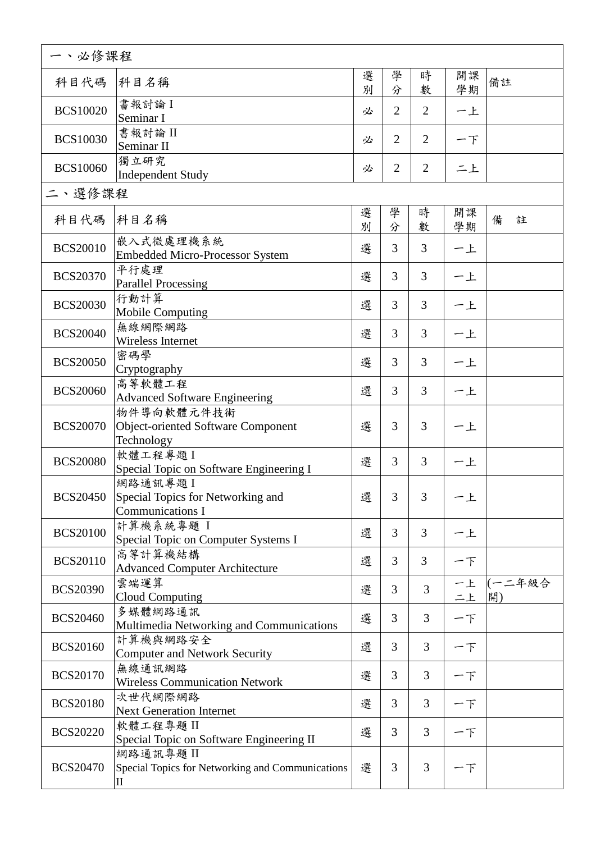| 一、必修課程          |                                                                         |        |                |                |          |              |  |  |
|-----------------|-------------------------------------------------------------------------|--------|----------------|----------------|----------|--------------|--|--|
| 科目代碼            | 科目名稱                                                                    | 選<br>別 | 學<br>分         | 時<br>數         | 開課<br>學期 | 備註           |  |  |
| <b>BCS10020</b> | 書報討論 I<br>Seminar I                                                     | 必      | $\overline{2}$ | $\overline{2}$ | 一上       |              |  |  |
| <b>BCS10030</b> | 書報討論 II<br>Seminar II                                                   | 必      | $\overline{2}$ | $\overline{2}$ | 一下       |              |  |  |
| <b>BCS10060</b> | 獨立研究<br>Independent Study                                               | 必      | $\overline{2}$ | $\overline{2}$ | 二上       |              |  |  |
| 二、選修課程          |                                                                         |        |                |                |          |              |  |  |
| 科目代碼            | 科目名稱                                                                    | 選<br>別 | 學<br>分         | 時<br>數         | 開課<br>學期 | 備<br>註       |  |  |
| <b>BCS20010</b> | 嵌入式微處理機系統<br><b>Embedded Micro-Processor System</b>                     | 選      | 3              | 3              | 一上       |              |  |  |
| <b>BCS20370</b> | 平行處理<br><b>Parallel Processing</b>                                      | 選      | $\mathfrak{Z}$ | 3              | 一上       |              |  |  |
| <b>BCS20030</b> | 行動計算<br><b>Mobile Computing</b>                                         | 選      | 3              | 3              | 一上       |              |  |  |
| <b>BCS20040</b> | 無線網際網路<br>Wireless Internet                                             | 選      | 3              | 3              | 一上       |              |  |  |
| <b>BCS20050</b> | 密碼學<br>Cryptography                                                     | 選      | 3              | 3              | 一上       |              |  |  |
| <b>BCS20060</b> | 高等軟體工程<br><b>Advanced Software Engineering</b>                          | 選      | 3              | 3              | 一上       |              |  |  |
| <b>BCS20070</b> | 物件導向軟體元件技術<br>Object-oriented Software Component<br>Technology          | 選      | 3              | 3              | 一上       |              |  |  |
| <b>BCS20080</b> | 軟體工程專題I<br>Special Topic on Software Engineering I                      | 選      | 3              | 3              | 一上       |              |  |  |
| <b>BCS20450</b> | 網路通訊專題I<br>Special Topics for Networking and<br><b>Communications I</b> | 選      | 3 <sup>1</sup> | 3              | 一上       |              |  |  |
| <b>BCS20100</b> | 計算機系統專題 I<br>Special Topic on Computer Systems I                        | 選      | 3              | 3              | 一上       |              |  |  |
| <b>BCS20110</b> | 高等計算機結構<br><b>Advanced Computer Architecture</b>                        | 選      | 3              | 3              | 一下       |              |  |  |
| <b>BCS20390</b> | 雲端運算<br><b>Cloud Computing</b>                                          | 選      | 3              | 3              | 一上<br>二上 | (一二年級合<br>開) |  |  |
| <b>BCS20460</b> | 多媒體網路通訊<br>Multimedia Networking and Communications                     | 選      | 3              | 3              | 一下       |              |  |  |
| <b>BCS20160</b> | 計算機與網路安全<br><b>Computer and Network Security</b>                        | 選      | 3              | $\overline{3}$ | 一下       |              |  |  |
| <b>BCS20170</b> | 無線通訊網路<br><b>Wireless Communication Network</b>                         | 選      | 3              | 3              | 一下       |              |  |  |
| <b>BCS20180</b> | 次世代網際網路<br><b>Next Generation Internet</b>                              | 選      | 3              | 3              | 一下       |              |  |  |
| <b>BCS20220</b> | 軟體工程專題II<br>Special Topic on Software Engineering II                    | 選      | 3              | $\overline{3}$ | 一下       |              |  |  |
| <b>BCS20470</b> | 網路通訊專題II<br>Special Topics for Networking and Communications<br>П       | 選      | 3              | $\overline{3}$ | 一下       |              |  |  |